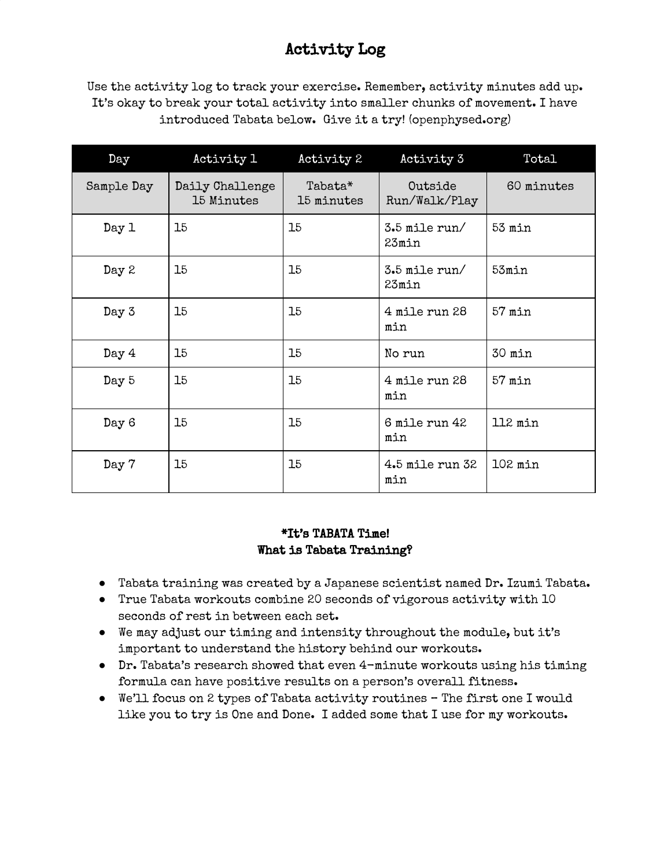### Activity Log

Use the activity log to track your exercise. Remember, activity minutes add up. It's okay to break your total activity into smaller chunks of movement. I have introduced Tabata below. Give it a try! (openphysed.org)

| Day        | Activity 1                    | Activity 2            | Activity 3               | Total      |
|------------|-------------------------------|-----------------------|--------------------------|------------|
| Sample Day | Daily Challenge<br>15 Minutes | Tabata*<br>15 minutes | Outside<br>Run/Walk/Play | 60 minutes |
| Day 1      | 15                            | 15                    | $3.5$ mile run/<br>23min | $53$ min   |
| Day 2      | 15                            | 15                    | 3.5 mile run/<br>23min   | 53min      |
| Day 3      | 15                            | 15                    | 4 mile run 28<br>min     | $57$ min   |
| Day 4      | 15                            | 15                    | No run                   | 30 min     |
| Day 5      | 15                            | 15                    | 4 mile run 28<br>min     | $57$ min   |
| Day 6      | 15                            | 15                    | 6 mile run 42<br>min     | 112 min    |
| Day 7      | 15                            | 15                    | 4.5 mile run 32<br>min   | $102$ min  |

#### \*It's TABATA Time! What is Tabata Training?

- Tabata training was created by a Japanese scientist named Dr. Izumi Tabata.
- True Tabata workouts combine 20 seconds of vigorous activity with 10 seconds of rest in between each set.
- We may adjust our timing and intensity throughout the module, but it's important to understand the history behind our workouts.
- Dr. Tabata's research showed that even 4-minute workouts using his timing formula can have positive results on a person's overall fitness.
- We'll focus on 2 types of Tabata activity routines The first one I would like you to try is One and Done. I added some that I use for my workouts.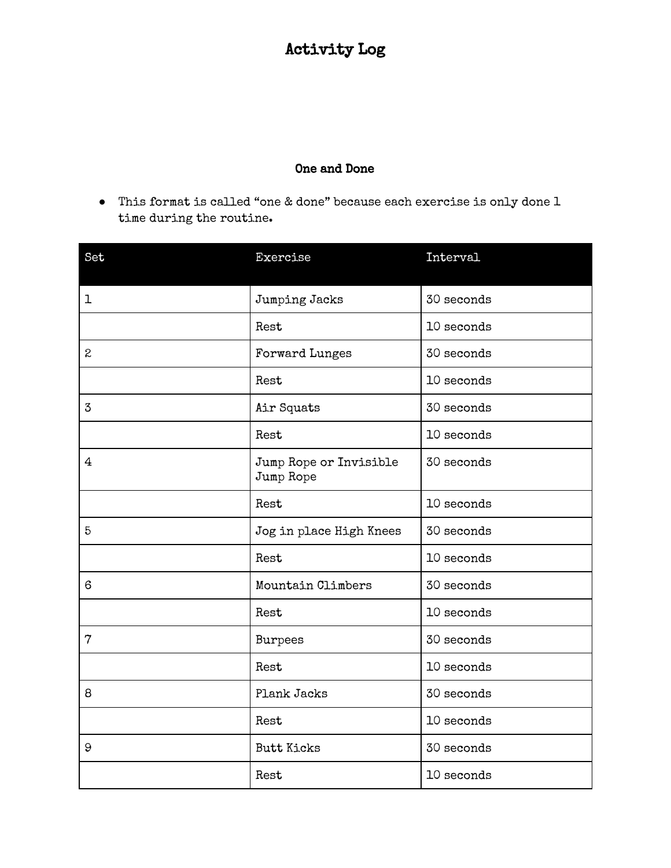## Activity Log

#### One and Done

● This format is called "one & done" because each exercise is only done 1 time during the routine.

| Set            | Exercise                            | Interval   |
|----------------|-------------------------------------|------------|
| 1              | Jumping Jacks                       | 30 seconds |
|                | Rest                                | 10 seconds |
| $\mathbf{2}$   | Forward Lunges                      | 30 seconds |
|                | Rest                                | 10 seconds |
| 3              | Air Squats                          | 30 seconds |
|                | Rest                                | 10 seconds |
| 4              | Jump Rope or Invisible<br>Jump Rope | 30 seconds |
|                | Rest                                | 10 seconds |
| 5              | Jog in place High Knees             | 30 seconds |
|                | Rest                                | 10 seconds |
| 6              | Mountain Climbers                   | 30 seconds |
|                | Rest                                | 10 seconds |
| $\overline{7}$ | <b>Burpees</b>                      | 30 seconds |
|                | Rest                                | 10 seconds |
| 8              | Plank Jacks                         | 30 seconds |
|                | Rest                                | 10 seconds |
| 9              | <b>Butt Kicks</b>                   | 30 seconds |
|                | Rest                                | 10 seconds |